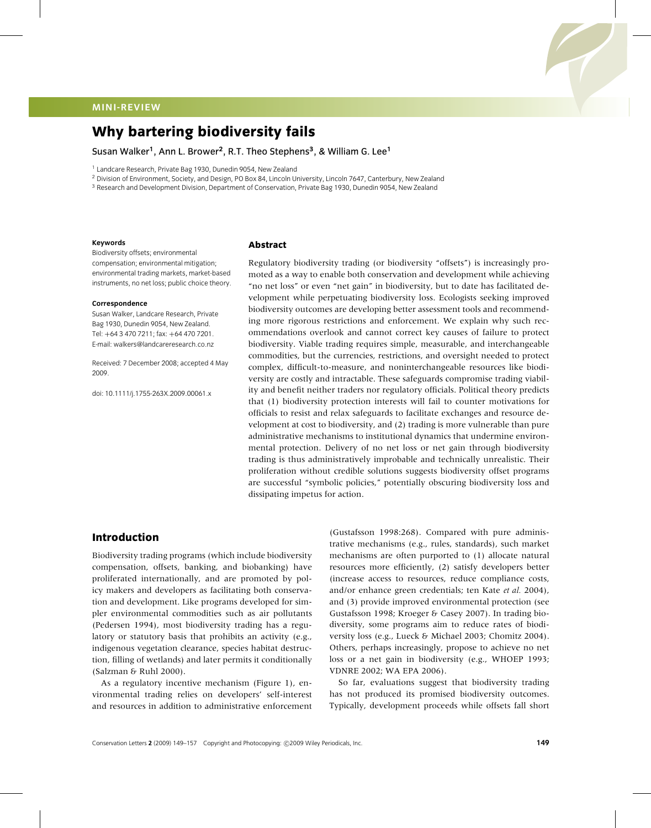# **MINI-REVIEW**

# **Why bartering biodiversity fails**

Susan Walker**<sup>1</sup>**, Ann L. Brower**<sup>2</sup>**, R.T. Theo Stephens**<sup>3</sup>**, & William G. Lee**<sup>1</sup>**

<sup>1</sup> Landcare Research, Private Bag 1930, Dunedin 9054, New Zealand

<sup>2</sup> Division of Environment, Society, and Design, PO Box 84, Lincoln University, Lincoln 7647, Canterbury, New Zealand

<sup>3</sup> Research and Development Division, Department of Conservation, Private Bag 1930, Dunedin 9054, New Zealand

#### **Keywords**

Biodiversity offsets; environmental compensation; environmental mitigation; environmental trading markets, market-based instruments, no net loss; public choice theory.

#### **Correspondence**

Susan Walker, Landcare Research, Private Bag 1930, Dunedin 9054, New Zealand. Tel: +64 3 470 7211; fax: +64 470 7201. E-mail: walkers@landcareresearch.co.nz

Received: 7 December 2008; accepted 4 May 2009.

doi: 10.1111/j.1755-263X.2009.00061.x

#### **Abstract**

Regulatory biodiversity trading (or biodiversity "offsets") is increasingly promoted as a way to enable both conservation and development while achieving "no net loss" or even "net gain" in biodiversity, but to date has facilitated development while perpetuating biodiversity loss. Ecologists seeking improved biodiversity outcomes are developing better assessment tools and recommending more rigorous restrictions and enforcement. We explain why such recommendations overlook and cannot correct key causes of failure to protect biodiversity. Viable trading requires simple, measurable, and interchangeable commodities, but the currencies, restrictions, and oversight needed to protect complex, difficult-to-measure, and noninterchangeable resources like biodiversity are costly and intractable. These safeguards compromise trading viability and benefit neither traders nor regulatory officials. Political theory predicts that (1) biodiversity protection interests will fail to counter motivations for officials to resist and relax safeguards to facilitate exchanges and resource development at cost to biodiversity, and (2) trading is more vulnerable than pure administrative mechanisms to institutional dynamics that undermine environmental protection. Delivery of no net loss or net gain through biodiversity trading is thus administratively improbable and technically unrealistic. Their proliferation without credible solutions suggests biodiversity offset programs are successful "symbolic policies," potentially obscuring biodiversity loss and dissipating impetus for action.

#### **Introduction**

Biodiversity trading programs (which include biodiversity compensation, offsets, banking, and biobanking) have proliferated internationally, and are promoted by policy makers and developers as facilitating both conservation and development. Like programs developed for simpler environmental commodities such as air pollutants (Pedersen 1994), most biodiversity trading has a regulatory or statutory basis that prohibits an activity (e.g., indigenous vegetation clearance, species habitat destruction, filling of wetlands) and later permits it conditionally (Salzman & Ruhl 2000).

As a regulatory incentive mechanism (Figure 1), environmental trading relies on developers' self-interest and resources in addition to administrative enforcement (Gustafsson 1998:268). Compared with pure administrative mechanisms (e.g., rules, standards), such market mechanisms are often purported to (1) allocate natural resources more efficiently, (2) satisfy developers better (increase access to resources, reduce compliance costs, and/or enhance green credentials; ten Kate *et al.* 2004), and (3) provide improved environmental protection (see Gustafsson 1998; Kroeger & Casey 2007). In trading biodiversity, some programs aim to reduce rates of biodiversity loss (e.g., Lueck & Michael 2003; Chomitz 2004). Others, perhaps increasingly, propose to achieve no net loss or a net gain in biodiversity (e.g., WHOEP 1993; VDNRE 2002; WA EPA 2006).

So far, evaluations suggest that biodiversity trading has not produced its promised biodiversity outcomes. Typically, development proceeds while offsets fall short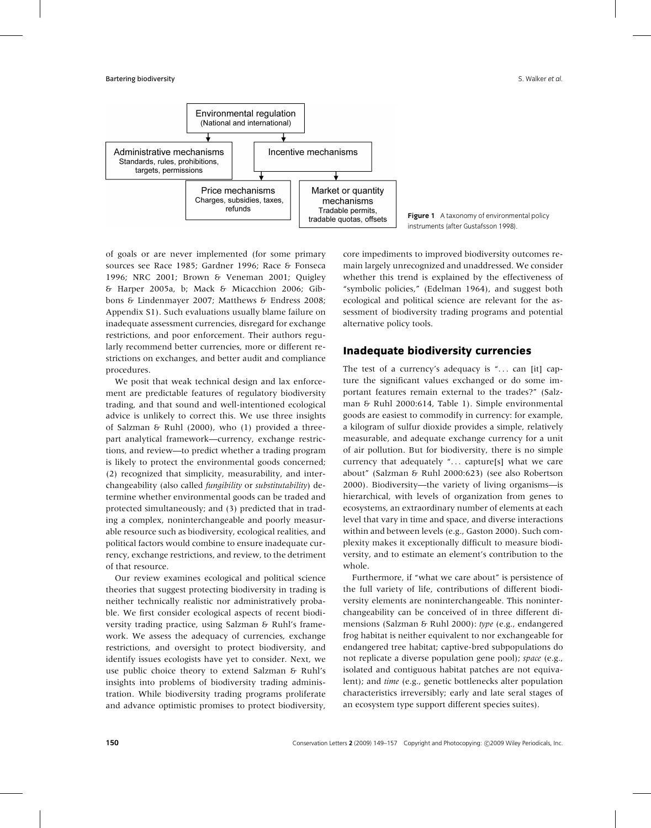

**Figure 1** A taxonomy of environmental policy instruments (after Gustafsson 1998).

of goals or are never implemented (for some primary sources see Race 1985; Gardner 1996; Race & Fonseca 1996; NRC 2001; Brown & Veneman 2001; Quigley & Harper 2005a, b; Mack & Micacchion 2006; Gibbons & Lindenmayer 2007; Matthews & Endress 2008; Appendix S1). Such evaluations usually blame failure on inadequate assessment currencies, disregard for exchange restrictions, and poor enforcement. Their authors regularly recommend better currencies, more or different restrictions on exchanges, and better audit and compliance procedures.

We posit that weak technical design and lax enforcement are predictable features of regulatory biodiversity trading, and that sound and well-intentioned ecological advice is unlikely to correct this. We use three insights of Salzman & Ruhl (2000), who (1) provided a threepart analytical framework—currency, exchange restrictions, and review—to predict whether a trading program is likely to protect the environmental goods concerned; (2) recognized that simplicity, measurability, and interchangeability (also called *fungibility* or *substitutability*) determine whether environmental goods can be traded and protected simultaneously; and (3) predicted that in trading a complex, noninterchangeable and poorly measurable resource such as biodiversity, ecological realities, and political factors would combine to ensure inadequate currency, exchange restrictions, and review, to the detriment of that resource.

Our review examines ecological and political science theories that suggest protecting biodiversity in trading is neither technically realistic nor administratively probable. We first consider ecological aspects of recent biodiversity trading practice, using Salzman & Ruhl's framework. We assess the adequacy of currencies, exchange restrictions, and oversight to protect biodiversity, and identify issues ecologists have yet to consider. Next, we use public choice theory to extend Salzman & Ruhl's insights into problems of biodiversity trading administration. While biodiversity trading programs proliferate and advance optimistic promises to protect biodiversity,

core impediments to improved biodiversity outcomes remain largely unrecognized and unaddressed. We consider whether this trend is explained by the effectiveness of "symbolic policies," (Edelman 1964), and suggest both ecological and political science are relevant for the assessment of biodiversity trading programs and potential alternative policy tools.

# **Inadequate biodiversity currencies**

The test of a currency's adequacy is "... can [it] capture the significant values exchanged or do some important features remain external to the trades?" (Salzman & Ruhl 2000:614, Table 1). Simple environmental goods are easiest to commodify in currency: for example, a kilogram of sulfur dioxide provides a simple, relatively measurable, and adequate exchange currency for a unit of air pollution. But for biodiversity, there is no simple currency that adequately "... capture[s] what we care about" (Salzman & Ruhl 2000:623) (see also Robertson 2000). Biodiversity—the variety of living organisms—is hierarchical, with levels of organization from genes to ecosystems, an extraordinary number of elements at each level that vary in time and space, and diverse interactions within and between levels (e.g., Gaston 2000). Such complexity makes it exceptionally difficult to measure biodiversity, and to estimate an element's contribution to the whole.

Furthermore, if "what we care about" is persistence of the full variety of life, contributions of different biodiversity elements are noninterchangeable. This noninterchangeability can be conceived of in three different dimensions (Salzman & Ruhl 2000): *type* (e.g., endangered frog habitat is neither equivalent to nor exchangeable for endangered tree habitat; captive-bred subpopulations do not replicate a diverse population gene pool); *space* (e.g., isolated and contiguous habitat patches are not equivalent); and *time* (e.g., genetic bottlenecks alter population characteristics irreversibly; early and late seral stages of an ecosystem type support different species suites).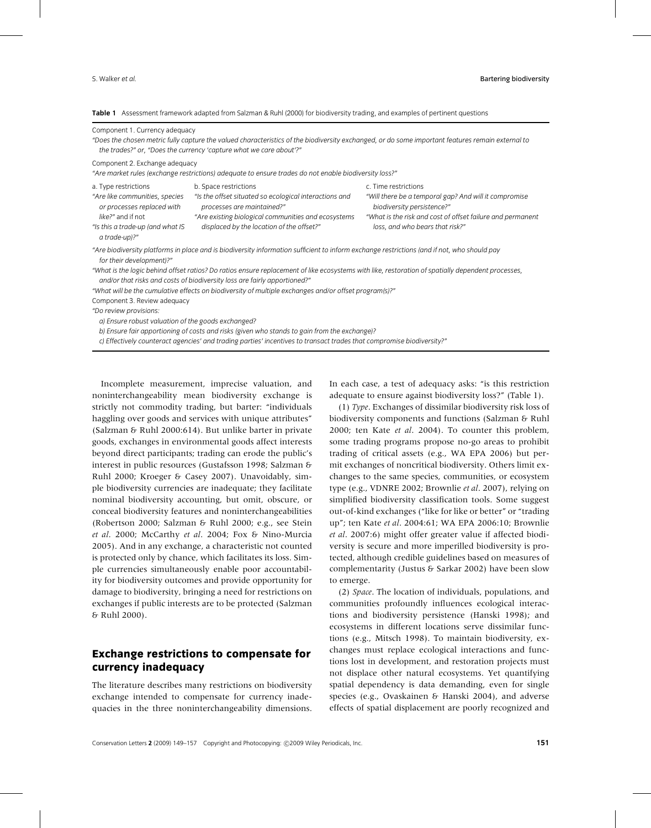|  | Table 1 Assessment framework adapted from Salzman & Ruhl (2000) for biodiversity trading, and examples of pertinent questions |  |  |  |  |  |  |
|--|-------------------------------------------------------------------------------------------------------------------------------|--|--|--|--|--|--|
|--|-------------------------------------------------------------------------------------------------------------------------------|--|--|--|--|--|--|

| Component 1. Currency adequacy |  |  |
|--------------------------------|--|--|
|--------------------------------|--|--|

*"Does the chosen metric fully capture the valued characteristics of the biodiversity exchanged, or do some important features remain external to the trades?" or, "Does the currency 'capture what we care about'?"*

Component 2. Exchange adequacy

*"Are market rules (exchange restrictions) adequate to ensure trades do not enable biodiversity loss?"*

| a. Type restrictions                                         | b. Space restrictions                                                                                                                                                                                                          | c. Time restrictions                                                                |
|--------------------------------------------------------------|--------------------------------------------------------------------------------------------------------------------------------------------------------------------------------------------------------------------------------|-------------------------------------------------------------------------------------|
| "Are like communities, species<br>or processes replaced with | "Is the offset situated so ecological interactions and<br>processes are maintained?"                                                                                                                                           | "Will there be a temporal gap? And will it compromise<br>biodiversity persistence?" |
| like?" and if not                                            | "Are existing biological communities and ecosystems                                                                                                                                                                            | "What is the risk and cost of offset failure and permanent                          |
| "Is this a trade-up (and what IS<br>a trade-up)?"            | displaced by the location of the offset?"                                                                                                                                                                                      | loss, and who bears that risk?"                                                     |
| for their development)?"                                     | "Are biodiversity platforms in place and is biodiversity information sufficient to inform exchange restrictions (and if not, who should pay                                                                                    |                                                                                     |
|                                                              | "What is the logic behind offset ratios? Do ratios ensure replacement of like ecosystems with like, restoration of spatially dependent processes,<br>and/or that risks and costs of biodiversity loss are fairly apportioned?" |                                                                                     |
|                                                              | "What will be the cumulative effects on biodiversity of multiple exchanges and/or offset program(s)?"                                                                                                                          |                                                                                     |
| Component 3. Review adequacy                                 |                                                                                                                                                                                                                                |                                                                                     |
| "Do review provisions:                                       |                                                                                                                                                                                                                                |                                                                                     |
| a) Ensure robust valuation of the goods exchanged?           |                                                                                                                                                                                                                                |                                                                                     |
|                                                              | b) Ensure fair apportioning of costs and risks (given who stands to gain from the exchange)?                                                                                                                                   |                                                                                     |
|                                                              |                                                                                                                                                                                                                                |                                                                                     |

*c) Effectively counteract agencies' and trading parties' incentives to transact trades that compromise biodiversity?"*

Incomplete measurement, imprecise valuation, and noninterchangeability mean biodiversity exchange is strictly not commodity trading, but barter: "individuals haggling over goods and services with unique attributes" (Salzman & Ruhl 2000:614). But unlike barter in private goods, exchanges in environmental goods affect interests beyond direct participants; trading can erode the public's interest in public resources (Gustafsson 1998; Salzman & Ruhl 2000; Kroeger & Casey 2007). Unavoidably, simple biodiversity currencies are inadequate; they facilitate nominal biodiversity accounting, but omit, obscure, or conceal biodiversity features and noninterchangeabilities (Robertson 2000; Salzman & Ruhl 2000; e.g., see Stein *et al*. 2000; McCarthy *et al*. 2004; Fox & Nino-Murcia 2005). And in any exchange, a characteristic not counted is protected only by chance, which facilitates its loss. Simple currencies simultaneously enable poor accountability for biodiversity outcomes and provide opportunity for damage to biodiversity, bringing a need for restrictions on exchanges if public interests are to be protected (Salzman & Ruhl 2000).

# **Exchange restrictions to compensate for currency inadequacy**

The literature describes many restrictions on biodiversity exchange intended to compensate for currency inadequacies in the three noninterchangeability dimensions.

In each case, a test of adequacy asks: "is this restriction adequate to ensure against biodiversity loss?" (Table 1).

(1) *Type*. Exchanges of dissimilar biodiversity risk loss of biodiversity components and functions (Salzman & Ruhl 2000; ten Kate *et al*. 2004). To counter this problem, some trading programs propose no-go areas to prohibit trading of critical assets (e.g., WA EPA 2006) but permit exchanges of noncritical biodiversity. Others limit exchanges to the same species, communities, or ecosystem type (e.g., VDNRE 2002; Brownlie *et al*. 2007), relying on simplified biodiversity classification tools. Some suggest out-of-kind exchanges ("like for like or better" or "trading up"; ten Kate *et al*. 2004:61; WA EPA 2006:10; Brownlie *et al*. 2007:6) might offer greater value if affected biodiversity is secure and more imperilled biodiversity is protected, although credible guidelines based on measures of complementarity (Justus & Sarkar 2002) have been slow to emerge.

(2) *Space*. The location of individuals, populations, and communities profoundly influences ecological interactions and biodiversity persistence (Hanski 1998); and ecosystems in different locations serve dissimilar functions (e.g., Mitsch 1998). To maintain biodiversity, exchanges must replace ecological interactions and functions lost in development, and restoration projects must not displace other natural ecosystems. Yet quantifying spatial dependency is data demanding, even for single species (e.g., Ovaskainen & Hanski 2004), and adverse effects of spatial displacement are poorly recognized and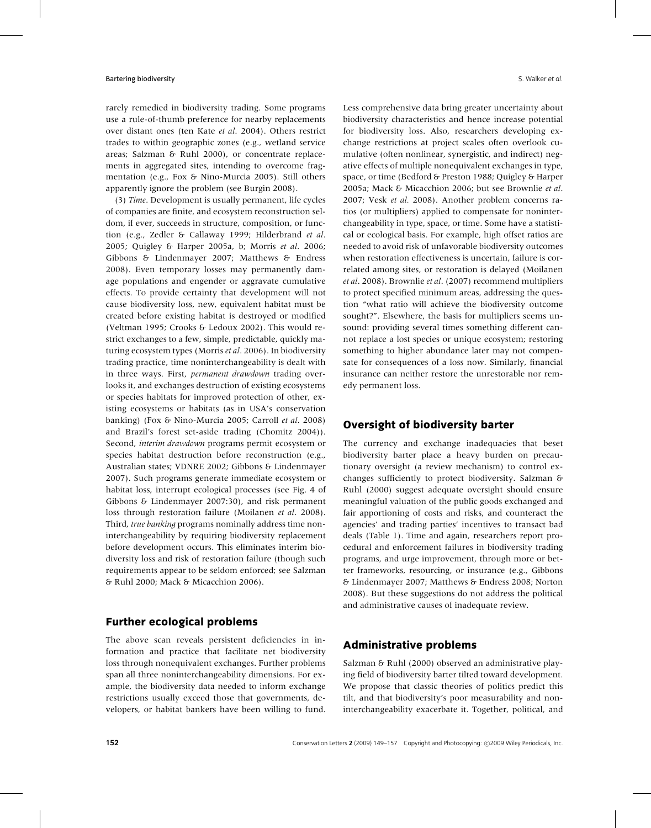#### **Bartering biodiversity** S. Walker *et al.* S. Walker *et al.* S. Walker *et al.* S. Walker *et al.* S. Walker *et al.*

rarely remedied in biodiversity trading. Some programs use a rule-of-thumb preference for nearby replacements over distant ones (ten Kate *et al*. 2004). Others restrict trades to within geographic zones (e.g., wetland service areas; Salzman & Ruhl 2000), or concentrate replacements in aggregated sites, intending to overcome fragmentation (e.g., Fox & Nino-Murcia 2005). Still others apparently ignore the problem (see Burgin 2008).

(3) *Time*. Development is usually permanent, life cycles of companies are finite, and ecosystem reconstruction seldom, if ever, succeeds in structure, composition, or function (e.g., Zedler & Callaway 1999; Hilderbrand *et al*. 2005; Quigley & Harper 2005a, b; Morris *et al*. 2006; Gibbons & Lindenmayer 2007; Matthews & Endress 2008). Even temporary losses may permanently damage populations and engender or aggravate cumulative effects. To provide certainty that development will not cause biodiversity loss, new, equivalent habitat must be created before existing habitat is destroyed or modified (Veltman 1995; Crooks & Ledoux 2002). This would restrict exchanges to a few, simple, predictable, quickly maturing ecosystem types (Morris *et al*. 2006). In biodiversity trading practice, time noninterchangeability is dealt with in three ways. First, *permanent drawdown* trading overlooks it, and exchanges destruction of existing ecosystems or species habitats for improved protection of other, existing ecosystems or habitats (as in USA's conservation banking) (Fox & Nino-Murcia 2005; Carroll *et al*. 2008) and Brazil's forest set-aside trading (Chomitz 2004)). Second, *interim drawdown* programs permit ecosystem or species habitat destruction before reconstruction (e.g., Australian states; VDNRE 2002; Gibbons & Lindenmayer 2007). Such programs generate immediate ecosystem or habitat loss, interrupt ecological processes (see Fig. 4 of Gibbons & Lindenmayer 2007:30), and risk permanent loss through restoration failure (Moilanen *et al*. 2008). Third, *true banking* programs nominally address time noninterchangeability by requiring biodiversity replacement before development occurs. This eliminates interim biodiversity loss and risk of restoration failure (though such requirements appear to be seldom enforced; see Salzman & Ruhl 2000; Mack & Micacchion 2006).

# **Further ecological problems**

The above scan reveals persistent deficiencies in information and practice that facilitate net biodiversity loss through nonequivalent exchanges. Further problems span all three noninterchangeability dimensions. For example, the biodiversity data needed to inform exchange restrictions usually exceed those that governments, developers, or habitat bankers have been willing to fund.

Less comprehensive data bring greater uncertainty about biodiversity characteristics and hence increase potential for biodiversity loss. Also, researchers developing exchange restrictions at project scales often overlook cumulative (often nonlinear, synergistic, and indirect) negative effects of multiple nonequivalent exchanges in type, space, or time (Bedford & Preston 1988; Quigley & Harper 2005a; Mack & Micacchion 2006; but see Brownlie *et al*. 2007; Vesk *et al.* 2008). Another problem concerns ratios (or multipliers) applied to compensate for noninterchangeability in type, space, or time. Some have a statistical or ecological basis. For example, high offset ratios are needed to avoid risk of unfavorable biodiversity outcomes when restoration effectiveness is uncertain, failure is correlated among sites, or restoration is delayed (Moilanen *et al*. 2008). Brownlie *et al*. (2007) recommend multipliers to protect specified minimum areas, addressing the question "what ratio will achieve the biodiversity outcome sought?". Elsewhere, the basis for multipliers seems unsound: providing several times something different cannot replace a lost species or unique ecosystem; restoring something to higher abundance later may not compensate for consequences of a loss now. Similarly, financial insurance can neither restore the unrestorable nor remedy permanent loss.

# **Oversight of biodiversity barter**

The currency and exchange inadequacies that beset biodiversity barter place a heavy burden on precautionary oversight (a review mechanism) to control exchanges sufficiently to protect biodiversity. Salzman & Ruhl (2000) suggest adequate oversight should ensure meaningful valuation of the public goods exchanged and fair apportioning of costs and risks, and counteract the agencies' and trading parties' incentives to transact bad deals (Table 1). Time and again, researchers report procedural and enforcement failures in biodiversity trading programs, and urge improvement, through more or better frameworks, resourcing, or insurance (e.g., Gibbons & Lindenmayer 2007; Matthews & Endress 2008; Norton 2008). But these suggestions do not address the political and administrative causes of inadequate review.

### **Administrative problems**

Salzman & Ruhl (2000) observed an administrative playing field of biodiversity barter tilted toward development. We propose that classic theories of politics predict this tilt, and that biodiversity's poor measurability and noninterchangeability exacerbate it. Together, political, and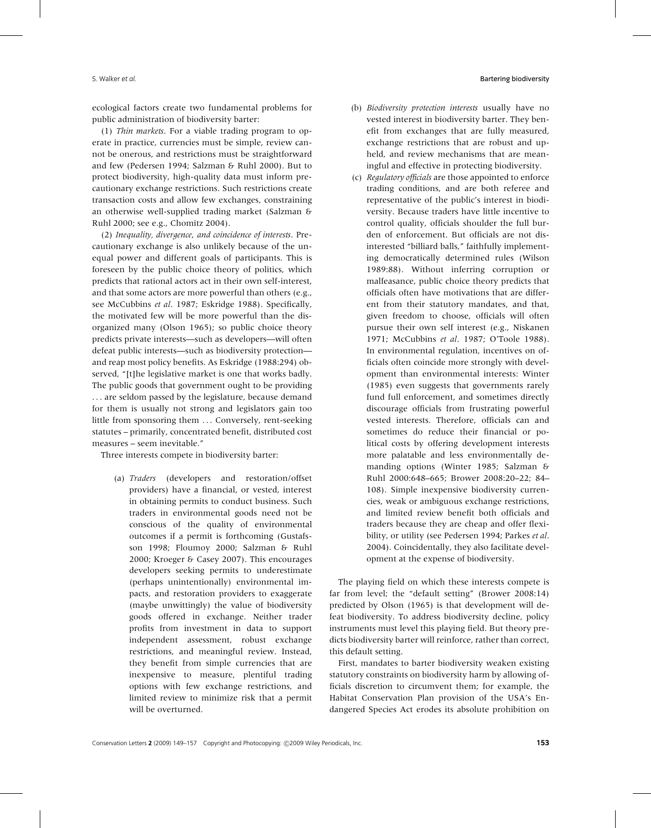ecological factors create two fundamental problems for public administration of biodiversity barter:

(1) *Thin markets*. For a viable trading program to operate in practice, currencies must be simple, review cannot be onerous, and restrictions must be straightforward and few (Pedersen 1994; Salzman & Ruhl 2000). But to protect biodiversity, high-quality data must inform precautionary exchange restrictions. Such restrictions create transaction costs and allow few exchanges, constraining an otherwise well-supplied trading market (Salzman & Ruhl 2000; see e.g., Chomitz 2004).

(2) *Inequality, divergence*, *and coincidence of interests*. Precautionary exchange is also unlikely because of the unequal power and different goals of participants. This is foreseen by the public choice theory of politics, which predicts that rational actors act in their own self-interest, and that some actors are more powerful than others (e.g., see McCubbins *et al*. 1987; Eskridge 1988). Specifically, the motivated few will be more powerful than the disorganized many (Olson 1965); so public choice theory predicts private interests—such as developers—will often defeat public interests—such as biodiversity protection and reap most policy benefits. As Eskridge (1988:294) observed, "[t]he legislative market is one that works badly. The public goods that government ought to be providing ... are seldom passed by the legislature, because demand for them is usually not strong and legislators gain too little from sponsoring them ... Conversely, rent-seeking statutes – primarily, concentrated benefit, distributed cost measures – seem inevitable."

Three interests compete in biodiversity barter:

(a) *Traders* (developers and restoration/offset providers) have a financial, or vested, interest in obtaining permits to conduct business. Such traders in environmental goods need not be conscious of the quality of environmental outcomes if a permit is forthcoming (Gustafsson 1998; Floumoy 2000; Salzman & Ruhl 2000; Kroeger & Casey 2007). This encourages developers seeking permits to underestimate (perhaps unintentionally) environmental impacts, and restoration providers to exaggerate (maybe unwittingly) the value of biodiversity goods offered in exchange. Neither trader profits from investment in data to support independent assessment, robust exchange restrictions, and meaningful review. Instead, they benefit from simple currencies that are inexpensive to measure, plentiful trading options with few exchange restrictions, and limited review to minimize risk that a permit will be overturned.

- (b) *Biodiversity protection interests* usually have no vested interest in biodiversity barter. They benefit from exchanges that are fully measured, exchange restrictions that are robust and upheld, and review mechanisms that are meaningful and effective in protecting biodiversity.
- (c) *Regulatory officials* are those appointed to enforce trading conditions, and are both referee and representative of the public's interest in biodiversity. Because traders have little incentive to control quality, officials shoulder the full burden of enforcement. But officials are not disinterested "billiard balls," faithfully implementing democratically determined rules (Wilson 1989:88). Without inferring corruption or malfeasance, public choice theory predicts that officials often have motivations that are different from their statutory mandates, and that, given freedom to choose, officials will often pursue their own self interest (e.g., Niskanen 1971; McCubbins *et al*. 1987; O'Toole 1988). In environmental regulation, incentives on officials often coincide more strongly with development than environmental interests: Winter (1985) even suggests that governments rarely fund full enforcement, and sometimes directly discourage officials from frustrating powerful vested interests. Therefore, officials can and sometimes do reduce their financial or political costs by offering development interests more palatable and less environmentally demanding options (Winter 1985; Salzman & Ruhl 2000:648–665; Brower 2008:20–22; 84– 108). Simple inexpensive biodiversity currencies, weak or ambiguous exchange restrictions, and limited review benefit both officials and traders because they are cheap and offer flexibility, or utility (see Pedersen 1994; Parkes *et al*. 2004). Coincidentally, they also facilitate development at the expense of biodiversity.

The playing field on which these interests compete is far from level; the "default setting" (Brower 2008:14) predicted by Olson (1965) is that development will defeat biodiversity. To address biodiversity decline, policy instruments must level this playing field. But theory predicts biodiversity barter will reinforce, rather than correct, this default setting.

First, mandates to barter biodiversity weaken existing statutory constraints on biodiversity harm by allowing officials discretion to circumvent them; for example, the Habitat Conservation Plan provision of the USA's Endangered Species Act erodes its absolute prohibition on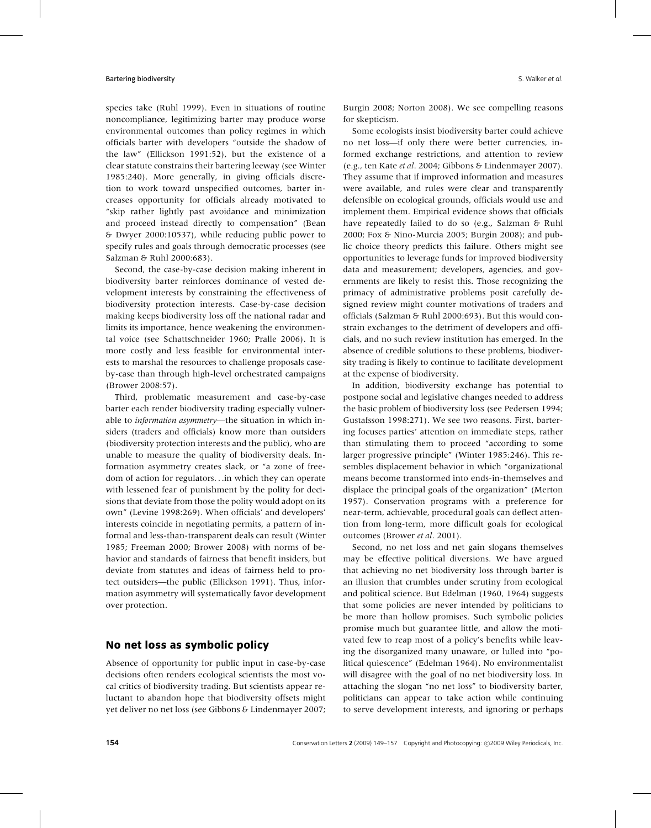species take (Ruhl 1999). Even in situations of routine noncompliance, legitimizing barter may produce worse environmental outcomes than policy regimes in which officials barter with developers "outside the shadow of the law" (Ellickson 1991:52), but the existence of a clear statute constrains their bartering leeway (see Winter 1985:240). More generally, in giving officials discretion to work toward unspecified outcomes, barter increases opportunity for officials already motivated to "skip rather lightly past avoidance and minimization and proceed instead directly to compensation" (Bean & Dwyer 2000:10537), while reducing public power to specify rules and goals through democratic processes (see Salzman & Ruhl 2000:683).

Second, the case-by-case decision making inherent in biodiversity barter reinforces dominance of vested development interests by constraining the effectiveness of biodiversity protection interests. Case-by-case decision making keeps biodiversity loss off the national radar and limits its importance, hence weakening the environmental voice (see Schattschneider 1960; Pralle 2006). It is more costly and less feasible for environmental interests to marshal the resources to challenge proposals caseby-case than through high-level orchestrated campaigns (Brower 2008:57).

Third, problematic measurement and case-by-case barter each render biodiversity trading especially vulnerable to *information asymmetry*—the situation in which insiders (traders and officials) know more than outsiders (biodiversity protection interests and the public), who are unable to measure the quality of biodiversity deals. Information asymmetry creates slack, or "a zone of freedom of action for regulators...in which they can operate with lessened fear of punishment by the polity for decisions that deviate from those the polity would adopt on its own" (Levine 1998:269). When officials' and developers' interests coincide in negotiating permits, a pattern of informal and less-than-transparent deals can result (Winter 1985; Freeman 2000; Brower 2008) with norms of behavior and standards of fairness that benefit insiders, but deviate from statutes and ideas of fairness held to protect outsiders—the public (Ellickson 1991). Thus, information asymmetry will systematically favor development over protection.

### **No net loss as symbolic policy**

Absence of opportunity for public input in case-by-case decisions often renders ecological scientists the most vocal critics of biodiversity trading. But scientists appear reluctant to abandon hope that biodiversity offsets might yet deliver no net loss (see Gibbons & Lindenmayer 2007;

Burgin 2008; Norton 2008). We see compelling reasons for skepticism.

Some ecologists insist biodiversity barter could achieve no net loss—if only there were better currencies, informed exchange restrictions, and attention to review (e.g., ten Kate *et al*. 2004; Gibbons & Lindenmayer 2007). They assume that if improved information and measures were available, and rules were clear and transparently defensible on ecological grounds, officials would use and implement them. Empirical evidence shows that officials have repeatedly failed to do so (e.g., Salzman & Ruhl 2000; Fox & Nino-Murcia 2005; Burgin 2008); and public choice theory predicts this failure. Others might see opportunities to leverage funds for improved biodiversity data and measurement; developers, agencies, and governments are likely to resist this. Those recognizing the primacy of administrative problems posit carefully designed review might counter motivations of traders and officials (Salzman & Ruhl 2000:693). But this would constrain exchanges to the detriment of developers and officials, and no such review institution has emerged. In the absence of credible solutions to these problems, biodiversity trading is likely to continue to facilitate development at the expense of biodiversity.

In addition, biodiversity exchange has potential to postpone social and legislative changes needed to address the basic problem of biodiversity loss (see Pedersen 1994; Gustafsson 1998:271). We see two reasons. First, bartering focuses parties' attention on immediate steps, rather than stimulating them to proceed "according to some larger progressive principle" (Winter 1985:246). This resembles displacement behavior in which "organizational means become transformed into ends-in-themselves and displace the principal goals of the organization" (Merton 1957). Conservation programs with a preference for near-term, achievable, procedural goals can deflect attention from long-term, more difficult goals for ecological outcomes (Brower *et al*. 2001).

Second, no net loss and net gain slogans themselves may be effective political diversions. We have argued that achieving no net biodiversity loss through barter is an illusion that crumbles under scrutiny from ecological and political science. But Edelman (1960, 1964) suggests that some policies are never intended by politicians to be more than hollow promises. Such symbolic policies promise much but guarantee little, and allow the motivated few to reap most of a policy's benefits while leaving the disorganized many unaware, or lulled into "political quiescence" (Edelman 1964). No environmentalist will disagree with the goal of no net biodiversity loss. In attaching the slogan "no net loss" to biodiversity barter, politicians can appear to take action while continuing to serve development interests, and ignoring or perhaps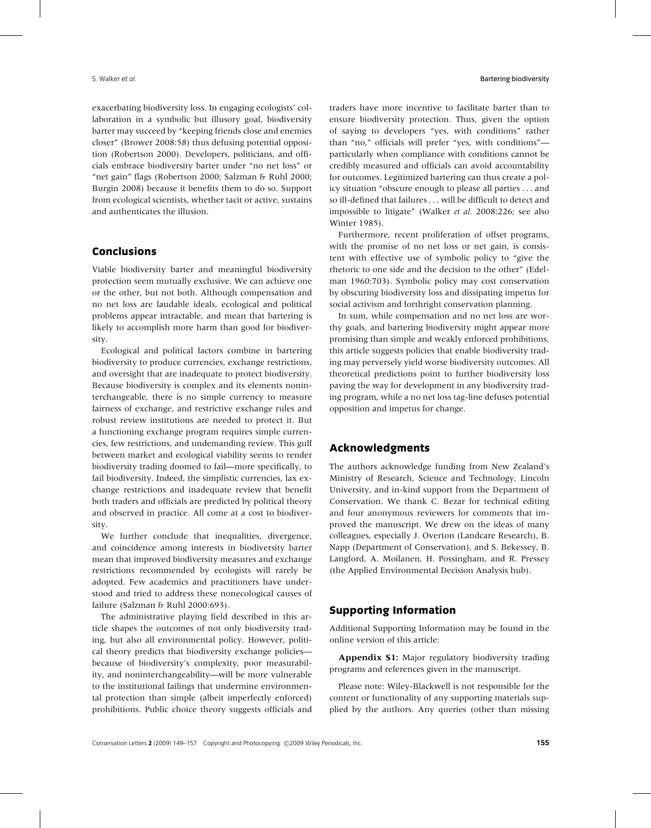exacerbating biodiversity loss. In engaging ecologists' collaboration in a symbolic but illusory goal, biodiversity barter may succeed by "keeping friends close and enemies closer" (Brower 2008:58) thus defusing potential opposition (Robertson 2000). Developers, politicians, and officials embrace biodiversity barter under "no net loss" or "net gain" flags (Robertson 2000; Salzman & Ruhl 2000; Burgin 2008) because it benefits them to do so. Support from ecological scientists, whether tacit or active, sustains and authenticates the illusion.

### **Conclusions**

Viable biodiversity barter and meaningful biodiversity protection seem mutually exclusive. We can achieve one or the other, but not both. Although compensation and no net loss are laudable ideals, ecological and political problems appear intractable, and mean that bartering is likely to accomplish more harm than good for biodiversity.

Ecological and political factors combine in bartering biodiversity to produce currencies, exchange restrictions, and oversight that are inadequate to protect biodiversity. Because biodiversity is complex and its elements noninterchangeable, there is no simple currency to measure fairness of exchange, and restrictive exchange rules and robust review institutions are needed to protect it. But a functioning exchange program requires simple currencies, few restrictions, and undemanding review. This gulf between market and ecological viability seems to render biodiversity trading doomed to fail—more specifically, to fail biodiversity. Indeed, the simplistic currencies, lax exchange restrictions and inadequate review that benefit both traders and officials are predicted by political theory and observed in practice. All come at a cost to biodiversity.

We further conclude that inequalities, divergence, and coincidence among interests in biodiversity barter mean that improved biodiversity measures and exchange restrictions recommended by ecologists will rarely be adopted. Few academics and practitioners have understood and tried to address these nonecological causes of failure (Salzman & Ruhl 2000:693).

The administrative playing field described in this article shapes the outcomes of not only biodiversity trading, but also all environmental policy. However, political theory predicts that biodiversity exchange policies because of biodiversity's complexity, poor measurability, and noninterchangeability—will be more vulnerable to the institutional failings that undermine environmental protection than simple (albeit imperfectly enforced) prohibitions. Public choice theory suggests officials and

traders have more incentive to facilitate barter than to ensure biodiversity protection. Thus, given the option of saying to developers "yes, with conditions" rather than "no," officials will prefer "yes, with conditions" particularly when compliance with conditions cannot be credibly measured and officials can avoid accountability for outcomes. Legitimized bartering can thus create a policy situation "obscure enough to please all parties ... and so ill-defined that failures ... will be difficult to detect and impossible to litigate" (Walker *et al.* 2008:226; see also Winter 1985).

Furthermore, recent proliferation of offset programs, with the promise of no net loss or net gain, is consistent with effective use of symbolic policy to "give the rhetoric to one side and the decision to the other" (Edelman 1960:703). Symbolic policy may cost conservation by obscuring biodiversity loss and dissipating impetus for social activism and forthright conservation planning.

In sum, while compensation and no net loss are worthy goals, and bartering biodiversity might appear more promising than simple and weakly enforced prohibitions, this article suggests policies that enable biodiversity trading may perversely yield worse biodiversity outcomes. All theoretical predictions point to further biodiversity loss paving the way for development in any biodiversity trading program, while a no net loss tag-line defuses potential opposition and impetus for change.

# **Acknowledgments**

The authors acknowledge funding from New Zealand's Ministry of Research, Science and Technology, Lincoln University, and in-kind support from the Department of Conservation. We thank C. Bezar for technical editing and four anonymous reviewers for comments that improved the manuscript. We drew on the ideas of many colleagues, especially J. Overton (Landcare Research), B. Napp (Department of Conservation), and S. Bekessey, B. Langford, A. Moilanen, H. Possingham, and R. Pressey (the Applied Environmental Decision Analysis hub).

#### **Supporting Information**

Additional Supporting Information may be found in the online version of this article:

**Appendix S1:** Major regulatory biodiversity trading programs and references given in the manuscript.

Please note: Wiley-Blackwell is not responsible for the content or functionality of any supporting materials supplied by the authors. Any queries (other than missing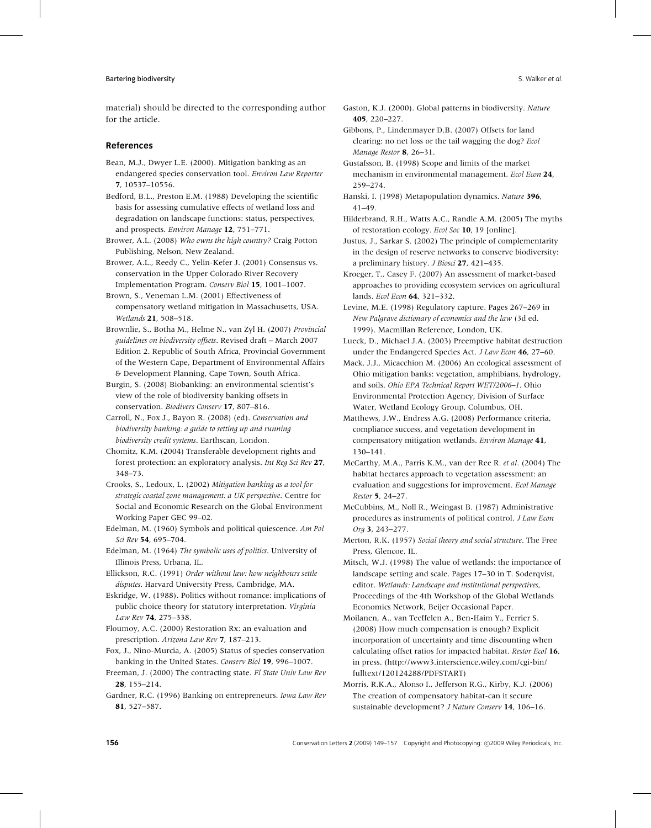material) should be directed to the corresponding author for the article.

#### **References**

- Bean, M.J., Dwyer L.E. (2000). Mitigation banking as an endangered species conservation tool. *Environ Law Reporter* **7**, 10537–10556.
- Bedford, B.L., Preston E.M. (1988) Developing the scientific basis for assessing cumulative effects of wetland loss and degradation on landscape functions: status, perspectives, and prospects. *Environ Manage* **12**, 751–771.
- Brower, A.L. (2008) *Who owns the high country?* Craig Potton Publishing, Nelson, New Zealand.
- Brower, A.L., Reedy C., Yelin-Kefer J. (2001) Consensus vs. conservation in the Upper Colorado River Recovery Implementation Program. *Conserv Biol* **15**, 1001–1007.
- Brown, S., Veneman L.M. (2001) Effectiveness of compensatory wetland mitigation in Massachusetts, USA. *Wetlands* **21**, 508–518.
- Brownlie, S., Botha M., Helme N., van Zyl H. (2007) *Provincial guidelines on biodiversity offsets*. Revised draft – March 2007 Edition 2. Republic of South Africa, Provincial Government of the Western Cape, Department of Environmental Affairs & Development Planning, Cape Town, South Africa.
- Burgin, S. (2008) Biobanking: an environmental scientist's view of the role of biodiversity banking offsets in conservation. *Biodivers Conserv* **17**, 807–816.
- Carroll, N., Fox J., Bayon R. (2008) (ed). *Conservation and biodiversity banking: a guide to setting up and running biodiversity credit systems*. Earthscan, London.
- Chomitz, K.M. (2004) Transferable development rights and forest protection: an exploratory analysis. *Int Reg Sci Rev* **27**, 348–73.
- Crooks, S., Ledoux, L. (2002) *Mitigation banking as a tool for strategic coastal zone management: a UK perspective*. Centre for Social and Economic Research on the Global Environment Working Paper GEC 99–02.
- Edelman, M. (1960) Symbols and political quiescence. *Am Pol Sci Rev* **54**, 695–704.
- Edelman, M. (1964) *The symbolic uses of politics*. University of Illinois Press, Urbana, IL.
- Ellickson, R.C. (1991) *Order without law: how neighbours settle disputes.* Harvard University Press, Cambridge, MA.
- Eskridge, W. (1988). Politics without romance: implications of public choice theory for statutory interpretation. *Virginia Law Rev* **74**, 275–338.
- Floumoy, A.C. (2000) Restoration Rx: an evaluation and prescription. *Arizona Law Rev* **7**, 187–213.
- Fox, J., Nino-Murcia, A. (2005) Status of species conservation banking in the United States. *Conserv Biol* **19**, 996–1007.
- Freeman, J. (2000) The contracting state. *Fl State Univ Law Rev* **28**, 155–214.
- Gardner, R.C. (1996) Banking on entrepreneurs. *Iowa Law Rev* **81**, 527–587.
- Gaston, K.J. (2000). Global patterns in biodiversity. *Nature* **405**, 220–227.
- Gibbons, P., Lindenmayer D.B. (2007) Offsets for land clearing: no net loss or the tail wagging the dog? *Ecol Manage Restor* **8**, 26–31.
- Gustafsson, B. (1998) Scope and limits of the market mechanism in environmental management. *Ecol Econ* **24**, 259–274.
- Hanski, I. (1998) Metapopulation dynamics. *Nature* **396**, 41–49.
- Hilderbrand, R.H., Watts A.C., Randle A.M. (2005) The myths of restoration ecology. *Ecol Soc* **10**, 19 [online].
- Justus, J., Sarkar S. (2002) The principle of complementarity in the design of reserve networks to conserve biodiversity: a preliminary history. *J Biosci* **27**, 421–435.
- Kroeger, T., Casey F. (2007) An assessment of market-based approaches to providing ecosystem services on agricultural lands. *Ecol Econ* **64**, 321–332.
- Levine, M.E. (1998) Regulatory capture. Pages 267–269 in *New Palgrave dictionary of economics and the law* (3d ed. 1999). Macmillan Reference, London, UK.
- Lueck, D., Michael J.A. (2003) Preemptive habitat destruction under the Endangered Species Act. *J Law Econ* **46**, 27–60.
- Mack, J.J., Micacchion M. (2006) An ecological assessment of Ohio mitigation banks: vegetation, amphibians, hydrology, and soils. *Ohio EPA Technical Report WET/2006–1*. Ohio Environmental Protection Agency, Division of Surface Water, Wetland Ecology Group, Columbus, OH.
- Matthews, J.W., Endress A.G. (2008) Performance criteria, compliance success, and vegetation development in compensatory mitigation wetlands. *Environ Manage* **41**, 130–141.
- McCarthy, M.A., Parris K.M., van der Ree R. *et al*. (2004) The habitat hectares approach to vegetation assessment: an evaluation and suggestions for improvement. *Ecol Manage Restor* **5**, 24–27.
- McCubbins, M., Noll R., Weingast B. (1987) Administrative procedures as instruments of political control. *J Law Econ Org* **3**, 243–277.
- Merton, R.K. (1957) *Social theory and social structure*. The Free Press, Glencoe, IL.
- Mitsch, W.J. (1998) The value of wetlands: the importance of landscape setting and scale. Pages 17–30 in T. Soderqvist, editor. *Wetlands: Landscape and institutional perspectives*, Proceedings of the 4th Workshop of the Global Wetlands Economics Network, Beijer Occasional Paper.
- Moilanen, A., van Teeffelen A., Ben-Haim Y., Ferrier S. (2008) How much compensation is enough? Explicit incorporation of uncertainty and time discounting when calculating offset ratios for impacted habitat. *Restor Ecol* **16**, in press. (http://www3.interscience.wiley.com/cgi-bin/ fulltext/120124288/PDFSTART)
- Morris, R.K.A., Alonso I., Jefferson R.G., Kirby, K.J. (2006) The creation of compensatory habitat-can it secure sustainable development? *J Nature Conserv* **14**, 106–16.